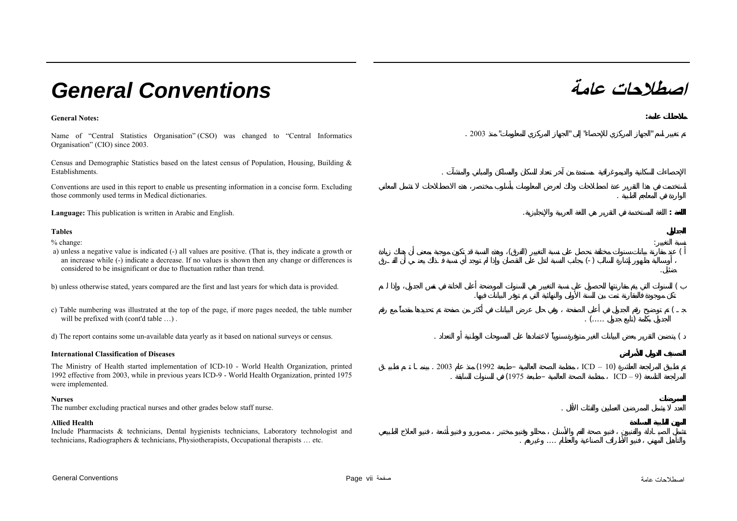# **عامة** *Conventions General*

Name of "Central Statistics Organisation" (CSO) was changed to "Central Informatics Organisation" (CIO) since 2003.

Census and Demographic Statistics based on the latest census of Population, Housing, Building & **Establishments** 

Conventions are used in this report to enable us presenting information in a concise form. Excluding those commonly used terms in Medical dictionaries. .

**Language:** This publication is written in Arabic and English. . **:**

### **Tables**

% change:

 a) unless a negative value is indicated (-) all values are positive. (That is, they indicate a growth or an increase while (-) indicate a decrease. If no values is shown then any change or differences is considered to be insignificant or due to fluctuation rather than trend.

b) unless otherwise stated, years compared are the first and last years for which data is provided. (

- c) Table numbering was illustrated at the top of the page, if more pages needed, the table number will be prefixed with (cont'd table ...).
- d) The report contains some un-available data yearly as it based on national surveys or census. . (

### **International Classification of Diseases**

The Ministry of Health started implementation of ICD-10 - World Health Organization, printed 1992 effective from 2003, while in previous years ICD-9 - World Health Organization, printed 1975 were implemented.

#### **Nurses**

The number excluding practical nurses and other grades below staff nurse. .

#### **Allied Health**

Include Pharmacists & technicians, Dental hygienists technicians, Laboratory technologist and technicians, Radiographers & technicians, Physiotherapists, Occupational therapists ... etc.